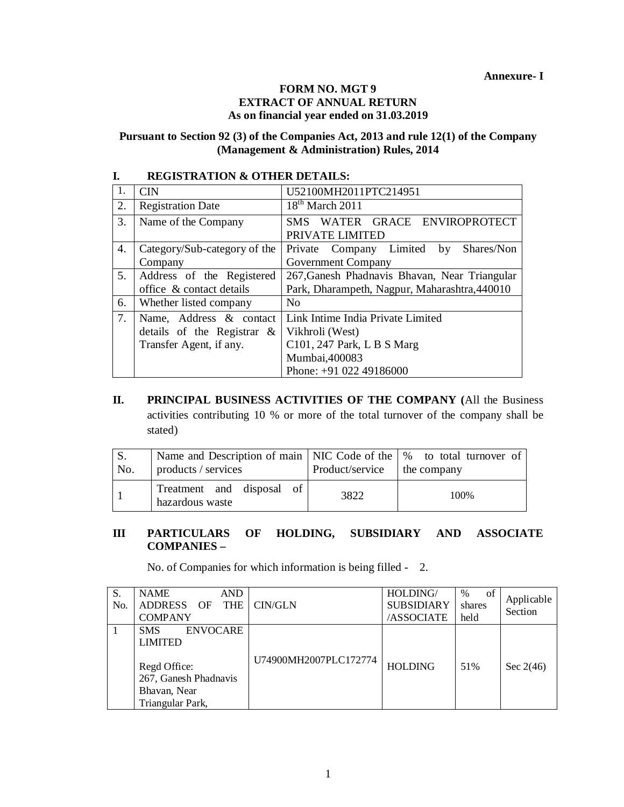#### **FORM NO. MGT 9 EXTRACT OF ANNUAL RETURN As on financial year ended on 31.03.2019**

#### **Pursuant to Section 92 (3) of the Companies Act, 2013 and rule 12(1) of the Company (Management & Administration) Rules, 2014**

| л. | кропятити к отнрк репира      |                                               |  |  |  |  |  |  |  |
|----|-------------------------------|-----------------------------------------------|--|--|--|--|--|--|--|
| 1. | <b>CIN</b>                    | U52100MH2011PTC214951                         |  |  |  |  |  |  |  |
| 2. | <b>Registration Date</b>      | $18th$ March 2011                             |  |  |  |  |  |  |  |
| 3. | Name of the Company           | WATER GRACE ENVIROPROTECT<br>SMS -            |  |  |  |  |  |  |  |
|    |                               | PRIVATE LIMITED                               |  |  |  |  |  |  |  |
| 4. | Category/Sub-category of the  | Private Company Limited<br>by Shares/Non      |  |  |  |  |  |  |  |
|    | Company                       | <b>Government Company</b>                     |  |  |  |  |  |  |  |
| 5. | Address of the Registered     | 267, Ganesh Phadnavis Bhavan, Near Triangular |  |  |  |  |  |  |  |
|    | office & contact details      | Park, Dharampeth, Nagpur, Maharashtra, 440010 |  |  |  |  |  |  |  |
| 6. | Whether listed company        | No                                            |  |  |  |  |  |  |  |
| 7. | Name, Address & contact       | Link Intime India Private Limited             |  |  |  |  |  |  |  |
|    | details of the Registrar $\&$ | Vikhroli (West)                               |  |  |  |  |  |  |  |
|    | Transfer Agent, if any.       | C101, 247 Park, L B S Marg                    |  |  |  |  |  |  |  |
|    |                               | Mumbai, 400083                                |  |  |  |  |  |  |  |
|    |                               | Phone: $+9102249186000$                       |  |  |  |  |  |  |  |

# **I. REGISTRATION & OTHER DETAILS:**

**II. PRINCIPAL BUSINESS ACTIVITIES OF THE COMPANY (**All the Business activities contributing 10 % or more of the total turnover of the company shall be stated)

| No. | Name and Description of main   NIC Code of the $\frac{1}{2}$ to total turnover of<br>products / services | Product/service   the company |       |
|-----|----------------------------------------------------------------------------------------------------------|-------------------------------|-------|
|     | Treatment and disposal of<br>hazardous waste                                                             | 3822                          | 100\% |

#### **III PARTICULARS OF HOLDING, SUBSIDIARY AND ASSOCIATE COMPANIES –**

No. of Companies for which information is being filled - 2.

| S.<br>No. | <b>NAME</b><br><b>AND</b><br><b>ADDRESS</b><br>THE<br>OF<br><b>COMPANY</b>                                                   | CIN/GLN               | HOLDING/<br><b>SUBSIDIARY</b><br>/ASSOCIATE | of<br>$\%$<br>shares<br>held | Applicable<br>Section |
|-----------|------------------------------------------------------------------------------------------------------------------------------|-----------------------|---------------------------------------------|------------------------------|-----------------------|
|           | <b>ENVOCARE</b><br><b>SMS</b><br><b>LIMITED</b><br>Regd Office:<br>267, Ganesh Phadnavis<br>Bhavan, Near<br>Triangular Park, | U74900MH2007PLC172774 | <b>HOLDING</b>                              | 51%                          | Sec $2(46)$           |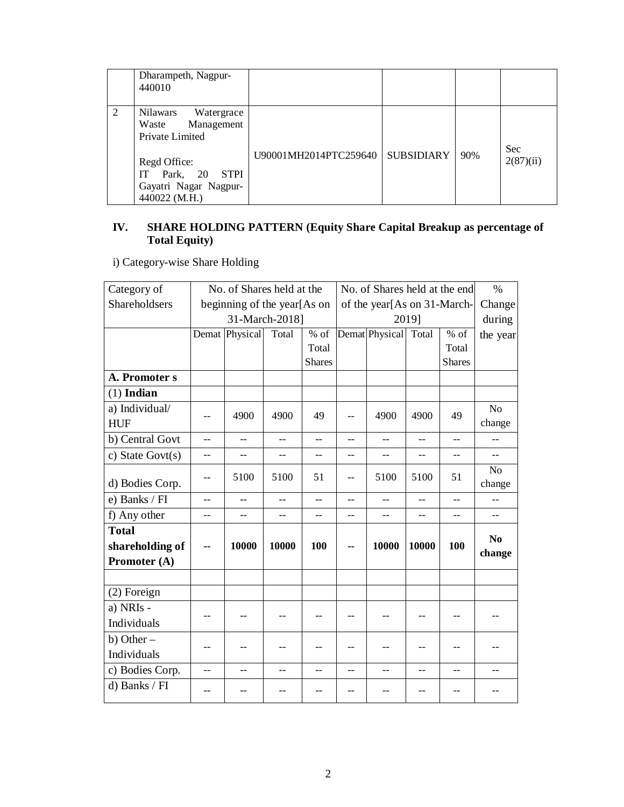|   | Dharampeth, Nagpur-<br>440010                                                                                                                  |                       |            |     |                         |
|---|------------------------------------------------------------------------------------------------------------------------------------------------|-----------------------|------------|-----|-------------------------|
| 2 | Nilawars<br>Watergrace<br>Management<br>Waste<br>Private Limited<br>Regd Office:<br>IT Park, 20 STPI<br>Gayatri Nagar Nagpur-<br>440022 (M.H.) | U90001MH2014PTC259640 | SUBSIDIARY | 90% | <b>Sec</b><br>2(87)(ii) |

#### **IV. SHARE HOLDING PATTERN (Equity Share Capital Breakup as percentage of Total Equity)**

i) Category-wise Share Holding

| Category of          |                          | No. of Shares held at the   |                |                | No. of Shares held at the end |                             |       |               | $\%$           |
|----------------------|--------------------------|-----------------------------|----------------|----------------|-------------------------------|-----------------------------|-------|---------------|----------------|
| <b>Shareholdsers</b> |                          | beginning of the year[As on |                |                |                               | of the year[As on 31-March- |       |               | Change         |
|                      |                          |                             | 31-March-2018] |                |                               |                             | 2019] |               | during         |
|                      |                          | Demat Physical              | Total          | $%$ of         |                               | Demat Physical Total        |       | $%$ of        | the year       |
|                      |                          |                             |                | Total          |                               |                             |       | Total         |                |
|                      |                          |                             |                | <b>Shares</b>  |                               |                             |       | <b>Shares</b> |                |
| A. Promoter s        |                          |                             |                |                |                               |                             |       |               |                |
| $(1)$ Indian         |                          |                             |                |                |                               |                             |       |               |                |
| a) Individual/       |                          | 4900                        | 4900           | 49             |                               | 4900                        | 4900  | 49            | No             |
| <b>HUF</b>           | $-$                      |                             |                |                | $-$                           |                             |       |               | change         |
| b) Central Govt      | $-$                      | $\overline{\phantom{a}}$    | $-$            | $-$            | $-$                           | $-$                         | $-$   | $-$           | --             |
| c) State Govt $(s)$  | $-$                      | $-$                         | $-$            | --             | $-$                           | $-$                         | $-$   | $-$           | $=$            |
|                      | $- -$                    | 5100                        | 5100           | 51             | $-$                           | 5100                        | 5100  | 51            | N <sub>o</sub> |
| d) Bodies Corp.      |                          |                             |                |                |                               |                             |       |               | change         |
| e) Banks / FI        | $-$                      | $-$                         |                |                | $-$                           |                             |       |               |                |
| f) Any other         | $\overline{a}$           | --                          | $-$            | $\overline{a}$ | $\overline{a}$                | $-$                         | $-$   | $-$           |                |
| <b>Total</b>         |                          |                             |                |                |                               |                             |       |               | N <sub>0</sub> |
| shareholding of      | $\overline{\phantom{a}}$ | 10000                       | 10000          | 100            | $\overline{\phantom{a}}$      | 10000                       | 10000 | 100           | change         |
| Promoter (A)         |                          |                             |                |                |                               |                             |       |               |                |
|                      |                          |                             |                |                |                               |                             |       |               |                |
| (2) Foreign          |                          |                             |                |                |                               |                             |       |               |                |
| a) NRIs -            | $-$                      | $-$                         |                |                | $-$                           |                             | $-$   |               |                |
| Individuals          |                          |                             |                |                |                               |                             |       |               |                |
| b) Other $-$         |                          |                             |                |                |                               |                             |       |               |                |
| Individuals          | $-$                      | $-$                         | $-$            |                | $-$                           |                             | $-$   | $-$           |                |
| c) Bodies Corp.      | $-$                      | --                          | $-$            | $-$            | $-$                           | $-$                         | $-$   | $-$           |                |
| d) Banks / FI        | $-$                      |                             | $-$            |                | $-$                           |                             | $-$   | $-1$          |                |
|                      |                          |                             |                |                |                               |                             |       |               |                |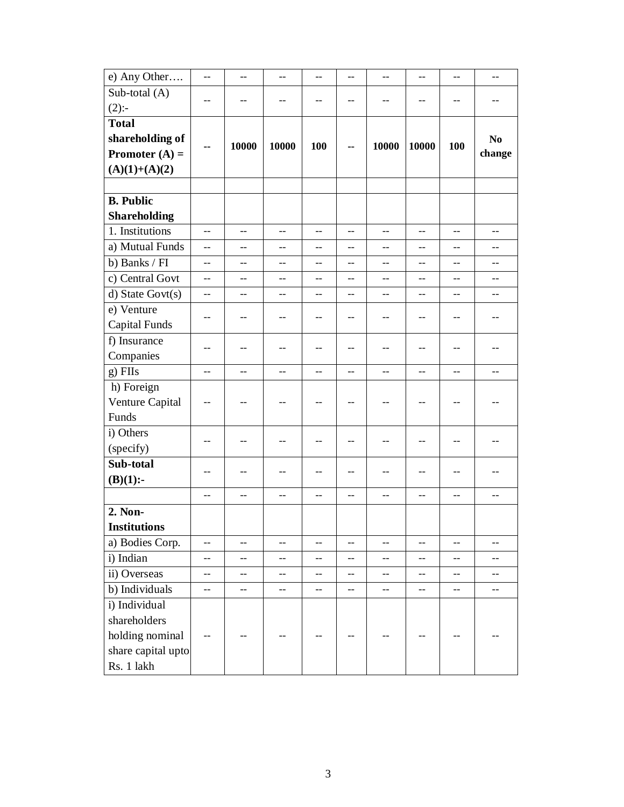| e) Any Other         | $\rightarrow$  | $-$   | $-$   | $-$                      | $\overline{a}$ | $-$               | $\overline{\phantom{a}}$ | $-$                      | $-$            |
|----------------------|----------------|-------|-------|--------------------------|----------------|-------------------|--------------------------|--------------------------|----------------|
| Sub-total (A)        |                | $-$   |       |                          |                |                   | $-$                      | $-$                      |                |
| $(2)$ :-             | $-$            |       | $-$   | --                       | $-$            | $-$               |                          |                          |                |
| <b>Total</b>         |                |       |       |                          |                |                   |                          |                          |                |
| shareholding of      | ۰.             | 10000 | 10000 | 100                      | --             | 10000             | 10000                    | 100                      | N <sub>0</sub> |
| Promoter $(A)$ =     |                |       |       |                          |                |                   |                          |                          | change         |
| $(A)(1)+(A)(2)$      |                |       |       |                          |                |                   |                          |                          |                |
|                      |                |       |       |                          |                |                   |                          |                          |                |
| <b>B.</b> Public     |                |       |       |                          |                |                   |                          |                          |                |
| <b>Shareholding</b>  |                |       |       |                          |                |                   |                          |                          |                |
| 1. Institutions      | $\overline{a}$ | --    | $-$   | $\overline{a}$           | $-$            | $-$               | $-$                      | $- -$                    | $-$            |
| a) Mutual Funds      | $-$            | $-$   | $-$   | $-$                      | $-$            | $-$               | $-$                      | $\overline{\phantom{a}}$ | $-$            |
| b) Banks / FI        | $-$            | $-$   | $-$   | $-$                      | $-$            | $-$               | $\overline{a}$           | $\overline{a}$           | $-$            |
| c) Central Govt      | $-$            | --    | $-$   | --                       | $-$            | $-$               | --                       | --                       | $-$            |
| d) State Govt(s)     |                | $-$   |       | $-$                      |                | --                | --                       |                          |                |
| e) Venture           | $-$            | --    | $-$   | $-$                      | $-$            | $-$               | $-$                      | $-$                      |                |
| <b>Capital Funds</b> |                |       |       |                          |                |                   |                          |                          |                |
| f) Insurance         | $-$            | $-$   | $-$   | $-$                      | $-$            | $-$               | $-$                      | $-$                      | $-$            |
| Companies            |                |       |       |                          |                |                   |                          |                          |                |
| $g)$ FIIs            | $-$            | $-$   | $-$   | $-$                      | $-$            | $-$               | $\overline{\phantom{a}}$ | $-$                      | $-$            |
| h) Foreign           |                |       |       |                          |                |                   |                          |                          |                |
| Venture Capital      | $-$            | --    | $-$   |                          | --             | --                | --                       | --                       |                |
| Funds                |                |       |       |                          |                |                   |                          |                          |                |
| i) Others            | $-$            | --    | --    |                          | $-$            |                   |                          |                          |                |
| (specify)            |                |       |       |                          |                |                   |                          |                          |                |
| Sub-total            | $-$            | --    | $-$   | $-$                      | $-$            | $-$               | $-$                      | $-$                      | $-$            |
| $(B)(1)$ :-          |                |       |       |                          |                |                   |                          |                          |                |
|                      | $\overline{a}$ | $-$   | $-$   | $\overline{\phantom{a}}$ | $\overline{a}$ | $-$               | --                       | $-$                      | $-$            |
| 2. Non-              |                |       |       |                          |                |                   |                          |                          |                |
| <b>Institutions</b>  |                |       |       |                          |                |                   |                          |                          |                |
| a) Bodies Corp.      | $-$            | --    | $-$   | $-$                      | $-$            | $\qquad \qquad -$ | $-$                      | $\overline{\phantom{a}}$ | $-$            |
| i) Indian            | --             | --    | --    | --                       | $-$            | --                | --                       | --                       | --             |
| ii) Overseas         | $-$            | $-$   | $-$   | $\overline{\phantom{a}}$ | $-$            | $-$               | $-$                      | $-$                      | --             |
| b) Individuals       | $-$            | $-$   | $-$   | $-$                      | $-$            | $-$               | $\overline{\phantom{a}}$ | $-$                      | $-$            |
| i) Individual        |                |       |       |                          |                |                   |                          |                          |                |
| shareholders         |                |       |       |                          |                |                   |                          |                          |                |
| holding nominal      |                |       |       |                          |                |                   |                          |                          |                |
| share capital upto   |                |       |       |                          |                |                   |                          |                          |                |
| Rs. 1 lakh           |                |       |       |                          |                |                   |                          |                          |                |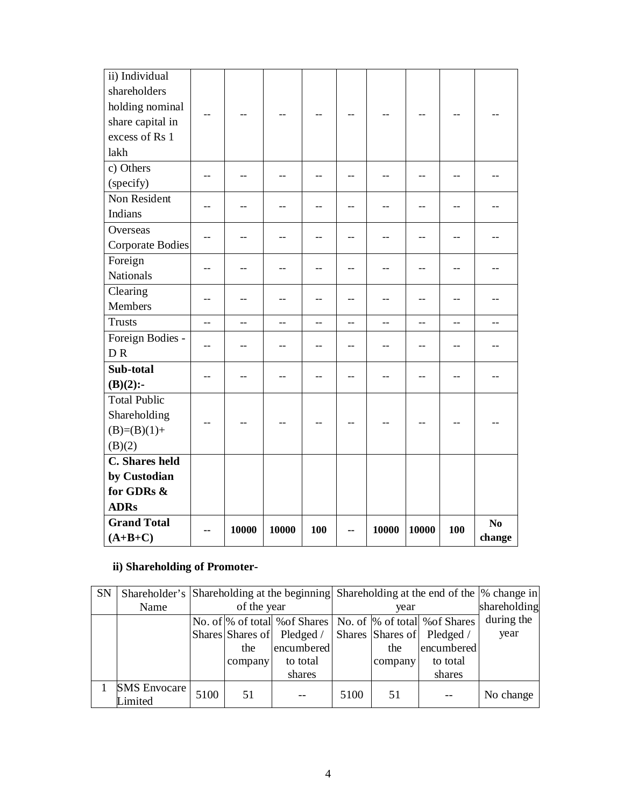| ii) Individual          |                |       |       |     |     |       |                |     |        |
|-------------------------|----------------|-------|-------|-----|-----|-------|----------------|-----|--------|
| shareholders            |                |       |       |     |     |       |                |     |        |
| holding nominal         |                |       |       |     |     |       |                |     |        |
| share capital in        |                |       |       |     |     |       |                |     |        |
| excess of Rs 1          |                |       |       |     |     |       |                |     |        |
| lakh                    |                |       |       |     |     |       |                |     |        |
| c) Others               |                | $-$   |       |     |     |       | $-$            |     |        |
| (specify)               |                |       |       |     |     |       |                |     |        |
| Non Resident            | $-$            | $-$   | --    | $-$ | $-$ | $-$   | $-$            | $-$ |        |
| Indians                 |                |       |       |     |     |       |                |     |        |
| Overseas                |                | --    | $-$   |     |     |       | --             |     |        |
| <b>Corporate Bodies</b> |                |       |       |     |     |       |                |     |        |
| Foreign                 | $-$            | --    | $-$   |     | $-$ |       | --             | --  |        |
| <b>Nationals</b>        |                |       |       |     |     |       |                |     |        |
| Clearing                |                |       | $-$   |     |     |       |                |     |        |
| Members                 | $-$            | --    |       |     |     |       | --             |     |        |
| <b>Trusts</b>           | $\overline{a}$ | $-$   | $-$   | $-$ | $-$ | $-$   | $\overline{a}$ | $-$ |        |
| Foreign Bodies -        | $-$            | $-$   | $-$   | $-$ | $-$ | $-$   | --             | $-$ |        |
| <b>DR</b>               |                |       |       |     |     |       |                |     |        |
| Sub-total               | $-$            | $-$   | --    |     | $-$ |       |                |     |        |
| $(B)(2)$ :-             |                |       |       |     |     | $-$   | --             | --  |        |
| <b>Total Public</b>     |                |       |       |     |     |       |                |     |        |
| Shareholding            |                |       |       |     |     |       |                |     |        |
| $(B)=(B)(1)+$           |                |       |       |     |     |       |                |     |        |
| (B)(2)                  |                |       |       |     |     |       |                |     |        |
| C. Shares held          |                |       |       |     |     |       |                |     |        |
| by Custodian            |                |       |       |     |     |       |                |     |        |
| for GDRs &              |                |       |       |     |     |       |                |     |        |
| <b>ADRs</b>             |                |       |       |     |     |       |                |     |        |
| <b>Grand Total</b>      |                | 10000 | 10000 | 100 |     | 10000 | 10000          | 100 | No     |
| $(A+B+C)$               |                |       |       |     | --  |       |                |     | change |

# **ii) Shareholding of Promoter-**

| <b>SN</b> |                                | Shareholder's Shareholding at the beginning Shareholding at the end of the  % change in |         |                               |      |         |                               |            |
|-----------|--------------------------------|-----------------------------------------------------------------------------------------|---------|-------------------------------|------|---------|-------------------------------|------------|
|           | Name                           | of the year                                                                             |         |                               |      | year    | shareholding                  |            |
|           |                                |                                                                                         |         | No. of % of total % of Shares |      |         | No. of % of total % of Shares | during the |
|           |                                |                                                                                         |         | Shares Shares of Pledged /    |      |         | Shares Shares of Pledged /    | year       |
|           |                                |                                                                                         | the     | encumbered                    |      | the     | encumbered                    |            |
|           |                                |                                                                                         | company | to total                      |      | company | to total                      |            |
|           |                                |                                                                                         |         | shares                        |      |         | shares                        |            |
|           | <b>SMS Envocare</b><br>Limited | 5100                                                                                    | 51      |                               | 5100 | 51      |                               | No change  |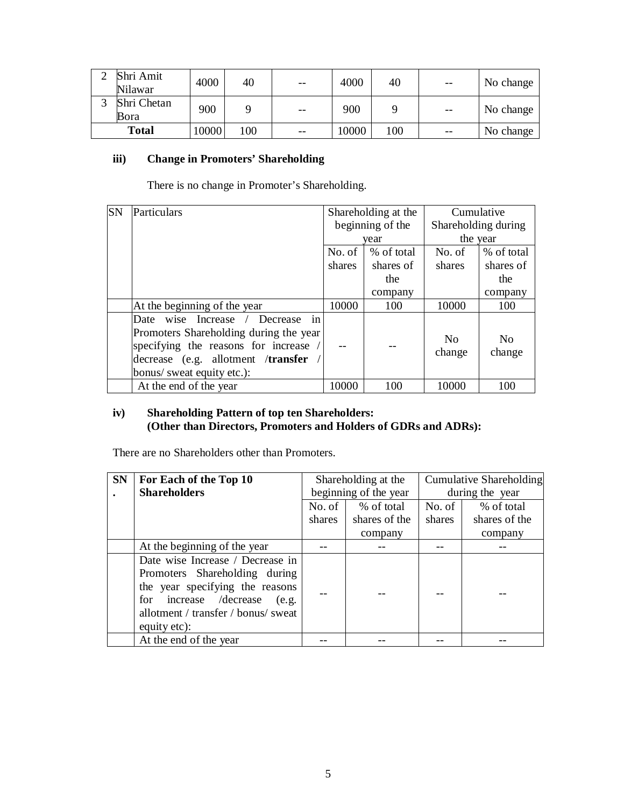| Shri Amit<br>Nilawar | 4000  | 40  | $- -$ | 4000  | 40  | $- -$ | No change |
|----------------------|-------|-----|-------|-------|-----|-------|-----------|
| Shri Chetan<br>Bora  | 900   |     | $ -$  | 900   |     | $- -$ | No change |
| <b>Total</b>         | 10000 | 100 | $- -$ | 10000 | 100 | $- -$ | No change |

## **iii) Change in Promoters' Shareholding**

There is no change in Promoter's Shareholding.

| <b>SN</b> | Particulars                                                                                                                                                                                              |        | Shareholding at the | Cumulative               |                          |
|-----------|----------------------------------------------------------------------------------------------------------------------------------------------------------------------------------------------------------|--------|---------------------|--------------------------|--------------------------|
|           |                                                                                                                                                                                                          |        | beginning of the    | Shareholding during      |                          |
|           |                                                                                                                                                                                                          |        | year                |                          | the year                 |
|           |                                                                                                                                                                                                          | No. of | % of total          | No. of                   | % of total               |
|           |                                                                                                                                                                                                          | shares | shares of           | shares                   | shares of                |
|           |                                                                                                                                                                                                          |        | the                 |                          | the                      |
|           |                                                                                                                                                                                                          |        | company             |                          | company                  |
|           | At the beginning of the year                                                                                                                                                                             | 10000  | 100                 | 10000                    | 100                      |
|           | Increase /<br>Date wise<br>Decrease<br>in<br>Promoters Shareholding during the year<br>specifying the reasons for increase /<br>decrease (e.g. allotment / <b>transfer</b><br>bonus/ sweat equity etc.): |        |                     | N <sub>0</sub><br>change | N <sub>0</sub><br>change |
|           | At the end of the year                                                                                                                                                                                   | 10000  | 100                 | 10000                    | 100                      |

## **iv) Shareholding Pattern of top ten Shareholders: (Other than Directors, Promoters and Holders of GDRs and ADRs):**

There are no Shareholders other than Promoters.

| <b>SN</b> | For Each of the Top 10                                                                                                                                                                         |        | Shareholding at the   |        | Cumulative Shareholding |  |  |
|-----------|------------------------------------------------------------------------------------------------------------------------------------------------------------------------------------------------|--------|-----------------------|--------|-------------------------|--|--|
|           | <b>Shareholders</b>                                                                                                                                                                            |        | beginning of the year |        | during the year         |  |  |
|           |                                                                                                                                                                                                | No. of | % of total            | No. of | % of total              |  |  |
|           |                                                                                                                                                                                                | shares | shares of the         | shares | shares of the           |  |  |
|           |                                                                                                                                                                                                |        | company               |        | company                 |  |  |
|           | At the beginning of the year                                                                                                                                                                   |        |                       |        |                         |  |  |
|           | Date wise Increase / Decrease in<br>Promoters Shareholding during<br>the year specifying the reasons<br>for increase /decrease<br>(e.g.<br>allotment / transfer / bonus/ sweat<br>equity etc): |        |                       |        |                         |  |  |
|           | At the end of the year                                                                                                                                                                         |        |                       |        |                         |  |  |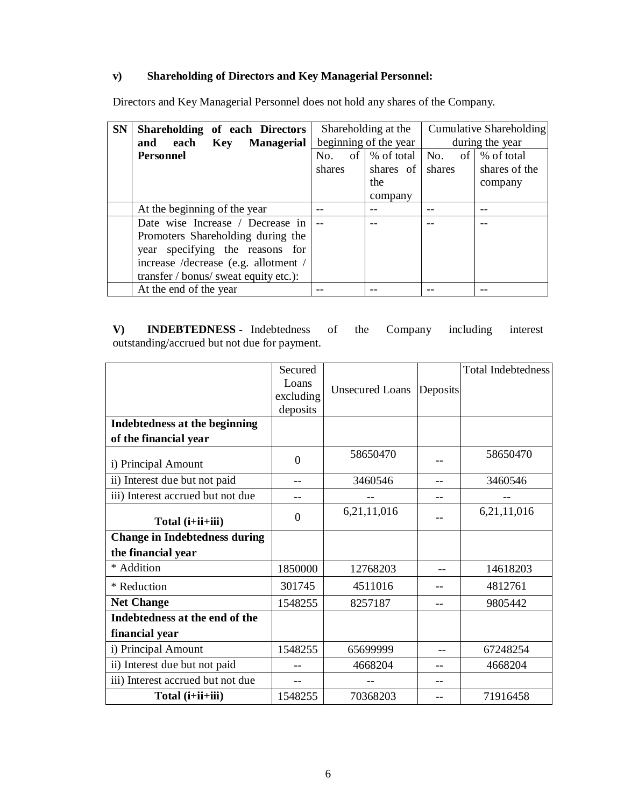## **v) Shareholding of Directors and Key Managerial Personnel:**

Directors and Key Managerial Personnel does not hold any shares of the Company.

| <b>SN</b> | Shareholding of each Directors        |        | Shareholding at the                        | Cumulative Shareholding |               |  |
|-----------|---------------------------------------|--------|--------------------------------------------|-------------------------|---------------|--|
|           | each Key Managerial<br>and            |        | beginning of the year                      | during the year         |               |  |
|           | <b>Personnel</b>                      | No.    | of $\%$ of total $\ $ No. of $\%$ of total |                         |               |  |
|           |                                       | shares | shares of shares                           |                         | shares of the |  |
|           |                                       |        | the                                        |                         | company       |  |
|           |                                       |        | company                                    |                         |               |  |
|           | At the beginning of the year          |        |                                            |                         |               |  |
|           | Date wise Increase / Decrease in      |        |                                            |                         |               |  |
|           | Promoters Shareholding during the     |        |                                            |                         |               |  |
|           | year specifying the reasons for       |        |                                            |                         |               |  |
|           | increase /decrease (e.g. allotment /  |        |                                            |                         |               |  |
|           | transfer / bonus/ sweat equity etc.): |        |                                            |                         |               |  |
|           | At the end of the year                |        |                                            |                         |               |  |

**V) INDEBTEDNESS -** Indebtedness of the Company including interest outstanding/accrued but not due for payment.

|                                      | Secured<br>Loans<br>excluding<br>deposits | Unsecured Loans | Deposits | <b>Total Indebtedness</b> |
|--------------------------------------|-------------------------------------------|-----------------|----------|---------------------------|
| Indebtedness at the beginning        |                                           |                 |          |                           |
| of the financial year                |                                           |                 |          |                           |
| i) Principal Amount                  | $\theta$                                  | 58650470        |          | 58650470                  |
| ii) Interest due but not paid        |                                           | 3460546         |          | 3460546                   |
| iii) Interest accrued but not due    |                                           |                 |          |                           |
| Total (i+ii+iii)                     | $\Omega$                                  | 6,21,11,016     |          | 6,21,11,016               |
| <b>Change in Indebtedness during</b> |                                           |                 |          |                           |
| the financial year                   |                                           |                 |          |                           |
| * Addition                           | 1850000                                   | 12768203        | --       | 14618203                  |
| * Reduction                          | 301745                                    | 4511016         |          | 4812761                   |
| <b>Net Change</b>                    | 1548255                                   | 8257187         |          | 9805442                   |
| Indebtedness at the end of the       |                                           |                 |          |                           |
| financial year                       |                                           |                 |          |                           |
| i) Principal Amount                  | 1548255                                   | 65699999        |          | 67248254                  |
| ii) Interest due but not paid        |                                           | 4668204         |          | 4668204                   |
| iii) Interest accrued but not due    |                                           |                 |          |                           |
| Total (i+ii+iii)                     | 1548255                                   | 70368203        |          | 71916458                  |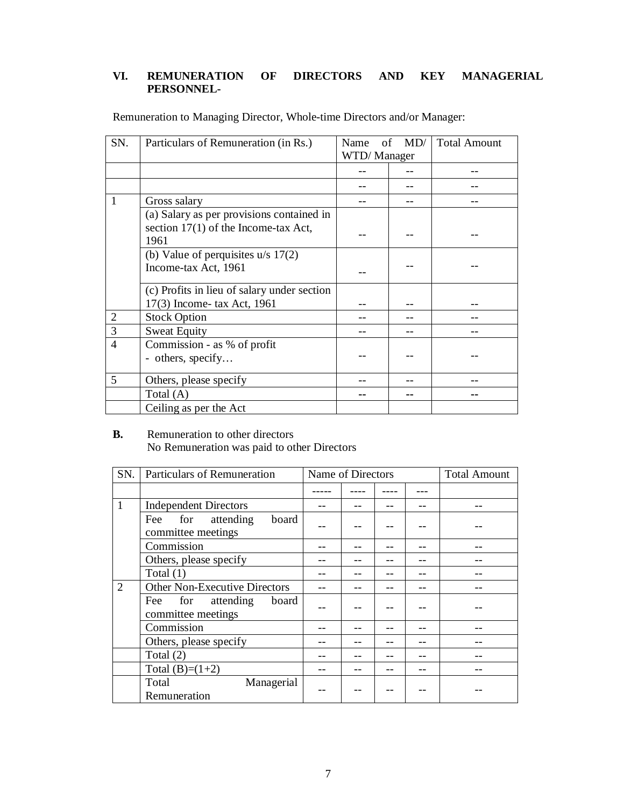## **VI. REMUNERATION OF DIRECTORS AND KEY MANAGERIAL PERSONNEL-**

| SN.            | Particulars of Remuneration (in Rs.)        | Name<br>οf  | MD/ | <b>Total Amount</b> |
|----------------|---------------------------------------------|-------------|-----|---------------------|
|                |                                             | WTD/Manager |     |                     |
|                |                                             |             |     |                     |
|                |                                             |             |     |                     |
|                | Gross salary                                |             |     |                     |
|                | (a) Salary as per provisions contained in   |             |     |                     |
|                | section $17(1)$ of the Income-tax Act,      |             |     |                     |
|                | 1961                                        |             |     |                     |
|                | (b) Value of perquisites $u/s$ 17(2)        |             |     |                     |
|                | Income-tax Act, 1961                        |             |     |                     |
|                |                                             |             |     |                     |
|                | (c) Profits in lieu of salary under section |             |     |                     |
|                | 17(3) Income- tax Act, 1961                 |             |     |                     |
| $\overline{2}$ | <b>Stock Option</b>                         |             |     |                     |
| 3              | <b>Sweat Equity</b>                         |             |     |                     |
| $\overline{4}$ | Commission - as % of profit                 |             |     |                     |
|                | - others, specify                           |             |     |                     |
|                |                                             |             |     |                     |
| 5              | Others, please specify                      |             |     |                     |
|                | Total $(A)$                                 |             |     |                     |
|                | Ceiling as per the Act                      |             |     |                     |

Remuneration to Managing Director, Whole-time Directors and/or Manager:

### **B.** Remuneration to other directors No Remuneration was paid to other Directors

| SN.          | Particulars of Remuneration                            | Name of Directors |  |  |  | <b>Total Amount</b> |
|--------------|--------------------------------------------------------|-------------------|--|--|--|---------------------|
|              |                                                        |                   |  |  |  |                     |
| $\mathbf{1}$ | <b>Independent Directors</b>                           |                   |  |  |  |                     |
|              | for attending<br>board<br>Fee<br>committee meetings    |                   |  |  |  |                     |
|              | Commission                                             |                   |  |  |  |                     |
|              | Others, please specify                                 |                   |  |  |  |                     |
|              | Total $(1)$                                            |                   |  |  |  |                     |
| 2            | <b>Other Non-Executive Directors</b>                   |                   |  |  |  |                     |
|              | attending<br>board<br>Fee<br>for<br>committee meetings |                   |  |  |  |                     |
|              | Commission                                             |                   |  |  |  |                     |
|              | Others, please specify                                 |                   |  |  |  |                     |
|              | Total $(2)$                                            |                   |  |  |  |                     |
|              | Total $(B)=(1+2)$                                      |                   |  |  |  |                     |
|              | Total<br>Managerial<br>Remuneration                    |                   |  |  |  |                     |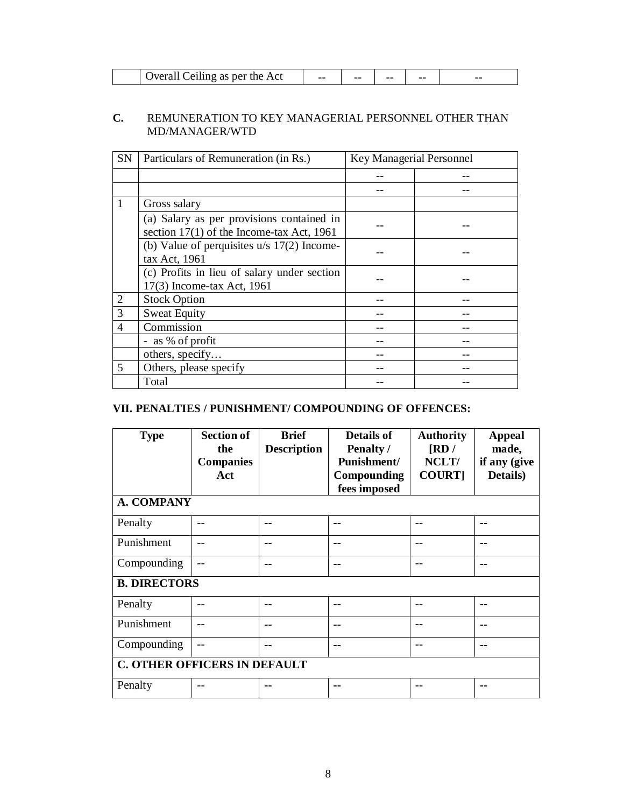| hveral i<br>per the Act<br>tling as ner the .<br>eı<br>ີ | $- -$ | -- | -- | -- | $- -$ |
|----------------------------------------------------------|-------|----|----|----|-------|

### **C.** REMUNERATION TO KEY MANAGERIAL PERSONNEL OTHER THAN MD/MANAGER/WTD

| <b>SN</b>      | Particulars of Remuneration (in Rs.)                                                     | Key Managerial Personnel |  |
|----------------|------------------------------------------------------------------------------------------|--------------------------|--|
|                |                                                                                          |                          |  |
|                |                                                                                          |                          |  |
|                | Gross salary                                                                             |                          |  |
|                | (a) Salary as per provisions contained in<br>section $17(1)$ of the Income-tax Act, 1961 |                          |  |
|                | (b) Value of perquisites $u/s$ 17(2) Income-<br>tax Act, 1961                            |                          |  |
|                | (c) Profits in lieu of salary under section<br>17(3) Income-tax Act, 1961                |                          |  |
| $\overline{2}$ | <b>Stock Option</b>                                                                      |                          |  |
| 3              | <b>Sweat Equity</b>                                                                      |                          |  |
| 4              | Commission                                                                               |                          |  |
|                | - as % of profit                                                                         |                          |  |
|                | others, specify                                                                          |                          |  |
| 5              | Others, please specify                                                                   |                          |  |
|                | Total                                                                                    |                          |  |

# **VII. PENALTIES / PUNISHMENT/ COMPOUNDING OF OFFENCES:**

| <b>Type</b>                         | <b>Section of</b><br>the<br><b>Companies</b><br>Act | <b>Brief</b><br><b>Description</b> | <b>Details of</b><br>Penalty /<br>Punishment/<br>Compounding<br>fees imposed | <b>Authority</b><br>$\overline{\text{R}}$ D/<br>NCLT/<br><b>COURT]</b> | <b>Appeal</b><br>made,<br>if any (give<br>Details) |  |  |
|-------------------------------------|-----------------------------------------------------|------------------------------------|------------------------------------------------------------------------------|------------------------------------------------------------------------|----------------------------------------------------|--|--|
| A. COMPANY                          |                                                     |                                    |                                                                              |                                                                        |                                                    |  |  |
| Penalty                             |                                                     | --                                 | --                                                                           |                                                                        | --                                                 |  |  |
| Punishment                          |                                                     | --                                 | --                                                                           |                                                                        | --                                                 |  |  |
| Compounding                         |                                                     | --                                 | --                                                                           |                                                                        |                                                    |  |  |
| <b>B. DIRECTORS</b>                 |                                                     |                                    |                                                                              |                                                                        |                                                    |  |  |
| Penalty                             |                                                     | --                                 | --                                                                           |                                                                        |                                                    |  |  |
| Punishment                          |                                                     | --                                 | --                                                                           |                                                                        |                                                    |  |  |
| Compounding                         |                                                     | --                                 | --                                                                           |                                                                        | --                                                 |  |  |
| <b>C. OTHER OFFICERS IN DEFAULT</b> |                                                     |                                    |                                                                              |                                                                        |                                                    |  |  |
| Penalty                             |                                                     | --                                 | --                                                                           | --                                                                     | --                                                 |  |  |